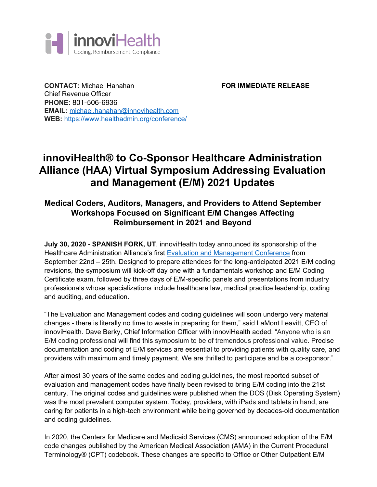

**CONTACT:** Michael Hanahan **FOR IMMEDIATE RELEASE** Chief Revenue Officer **PHONE:** 801-506-6936 **EMAIL:** [michael.hanahan@innovihealth.com](mailto:michael.hanahan@innovihealth.com) **WEB:** <https://www.healthadmin.org/conference/>

# **innoviHealth® to Co-Sponsor Healthcare Administration Alliance (HAA) Virtual Symposium Addressing Evaluation and Management (E/M) 2021 Updates**

# **Medical Coders, Auditors, Managers, and Providers to Attend September Workshops Focused on Significant E/M Changes Affecting Reimbursement in 2021 and Beyond**

**July 30, 2020 - SPANISH FORK, UT**. innoviHealth today announced its sponsorship of the Healthcare Administration Alliance's first Evaluation and [Management](https://www.healthadmin.org/conference/) Conference from September 22nd – 25th. Designed to prepare attendees for the long-anticipated 2021 E/M coding revisions, the symposium will kick-off day one with a fundamentals workshop and E/M Coding Certificate exam, followed by three days of E/M-specific panels and presentations from industry professionals whose specializations include healthcare law, medical practice leadership, coding and auditing, and education.

"The Evaluation and Management codes and coding guidelines will soon undergo very material changes - there is literally no time to waste in preparing for them," said LaMont Leavitt, CEO of innoviHealth. Dave Berky, Chief Information Officer with innoviHealth added: "Anyone who is an E/M coding professional will find this symposium to be of tremendous professional value. Precise documentation and coding of E/M services are essential to providing patients with quality care, and providers with maximum and timely payment. We are thrilled to participate and be a co-sponsor."

After almost 30 years of the same codes and coding guidelines, the most reported subset of evaluation and management codes have finally been revised to bring E/M coding into the 21st century. The original codes and guidelines were published when the DOS (Disk Operating System) was the most prevalent computer system. Today, providers, with iPads and tablets in hand, are caring for patients in a high-tech environment while being governed by decades-old documentation and coding guidelines.

In 2020, the Centers for Medicare and Medicaid Services (CMS) announced adoption of the E/M code changes published by the American Medical Association (AMA) in the Current Procedural Terminology® (CPT) codebook. These changes are specific to Office or Other Outpatient E/M